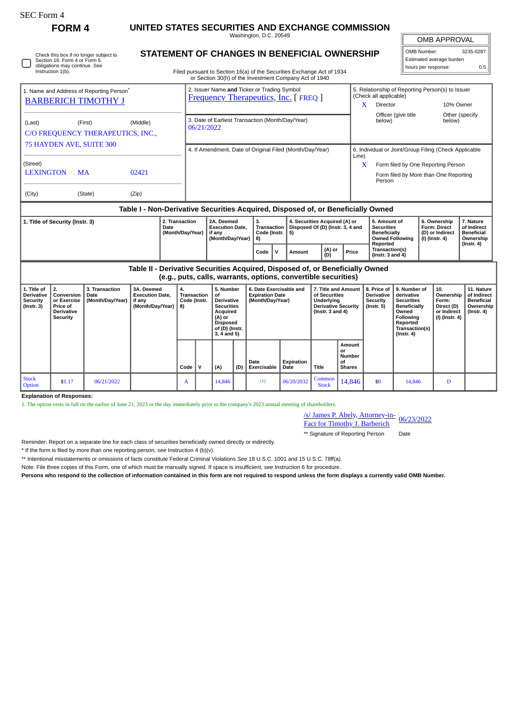П

Check this box if no longer subject to Section 16. Form 4 or Form 5 obligations may continue. *See* Instruction 1(b).

**FORM 4 UNITED STATES SECURITIES AND EXCHANGE COMMISSION** Washington, D.C. 20549

 $\sqrt{\phantom{.}}$ OMB APPROVAL

| OMB Number:             | 3235-0287 |  |  |  |  |  |  |  |  |
|-------------------------|-----------|--|--|--|--|--|--|--|--|
| Stimated average burden |           |  |  |  |  |  |  |  |  |
| hours per response:     | 0.5       |  |  |  |  |  |  |  |  |

Filed pursuant to Section 16(a) of the Securities Exchange Act of 1934 or Section 30(h) of the Investment Company Act of 1940

**STATEMENT OF CHANGES IN BENEFICIAL OWNERSHIP**

|                                                                               |                                                                                            |                                            |                                                                                  |          |                                                                    |            |                                                                                                                                           |                                                                                                                           | 01 Security Solling the investment Company Act of 1940                |                                                                            |                                                                |                                                                                                          |                                        |                                                                      |                                                                  |                                                                                                                                                |                                                                          |                                                                                |                                                                                 |
|-------------------------------------------------------------------------------|--------------------------------------------------------------------------------------------|--------------------------------------------|----------------------------------------------------------------------------------|----------|--------------------------------------------------------------------|------------|-------------------------------------------------------------------------------------------------------------------------------------------|---------------------------------------------------------------------------------------------------------------------------|-----------------------------------------------------------------------|----------------------------------------------------------------------------|----------------------------------------------------------------|----------------------------------------------------------------------------------------------------------|----------------------------------------|----------------------------------------------------------------------|------------------------------------------------------------------|------------------------------------------------------------------------------------------------------------------------------------------------|--------------------------------------------------------------------------|--------------------------------------------------------------------------------|---------------------------------------------------------------------------------|
| 1. Name and Address of Reporting Person <sup>*</sup>                          | 2. Issuer Name and Ticker or Trading Symbol<br><b>Frequency Therapeutics, Inc. [FREQ ]</b> |                                            |                                                                                  |          |                                                                    |            |                                                                                                                                           |                                                                                                                           |                                                                       | 5. Relationship of Reporting Person(s) to Issuer<br>(Check all applicable) |                                                                |                                                                                                          |                                        |                                                                      |                                                                  |                                                                                                                                                |                                                                          |                                                                                |                                                                                 |
| <b>BARBERICH TIMOTHY J</b>                                                    |                                                                                            |                                            |                                                                                  |          |                                                                    |            |                                                                                                                                           |                                                                                                                           |                                                                       |                                                                            |                                                                |                                                                                                          |                                        |                                                                      | X<br>Director                                                    |                                                                                                                                                |                                                                          | 10% Owner                                                                      |                                                                                 |
| (Last)                                                                        | (First)                                                                                    |                                            |                                                                                  |          |                                                                    |            |                                                                                                                                           | 3. Date of Earliest Transaction (Month/Day/Year)                                                                          |                                                                       |                                                                            |                                                                |                                                                                                          |                                        |                                                                      |                                                                  | Officer (give title                                                                                                                            |                                                                          | Other (specify<br>below)                                                       |                                                                                 |
| (Middle)                                                                      |                                                                                            |                                            |                                                                                  |          |                                                                    | 06/21/2022 |                                                                                                                                           |                                                                                                                           |                                                                       |                                                                            |                                                                |                                                                                                          |                                        |                                                                      | below)                                                           |                                                                                                                                                |                                                                          |                                                                                |                                                                                 |
| C/O FREQUENCY THERAPEUTICS, INC.,                                             |                                                                                            |                                            |                                                                                  |          |                                                                    |            |                                                                                                                                           |                                                                                                                           |                                                                       |                                                                            |                                                                |                                                                                                          |                                        |                                                                      |                                                                  |                                                                                                                                                |                                                                          |                                                                                |                                                                                 |
| 75 HAYDEN AVE, SUITE 300                                                      |                                                                                            |                                            |                                                                                  |          | 4. If Amendment, Date of Original Filed (Month/Day/Year)           |            |                                                                                                                                           |                                                                                                                           |                                                                       |                                                                            |                                                                |                                                                                                          |                                        | 6. Individual or Joint/Group Filing (Check Applicable                |                                                                  |                                                                                                                                                |                                                                          |                                                                                |                                                                                 |
| (Street)                                                                      |                                                                                            |                                            |                                                                                  |          |                                                                    |            |                                                                                                                                           |                                                                                                                           |                                                                       |                                                                            |                                                                |                                                                                                          |                                        |                                                                      | Line)<br>X<br>Form filed by One Reporting Person                 |                                                                                                                                                |                                                                          |                                                                                |                                                                                 |
| <b>LEXINGTON</b><br>02421<br><b>MA</b>                                        |                                                                                            |                                            |                                                                                  |          |                                                                    |            |                                                                                                                                           |                                                                                                                           |                                                                       |                                                                            |                                                                |                                                                                                          |                                        | Form filed by More than One Reporting<br>Person                      |                                                                  |                                                                                                                                                |                                                                          |                                                                                |                                                                                 |
| (City)                                                                        |                                                                                            | (State)                                    | (Zip)                                                                            |          |                                                                    |            |                                                                                                                                           |                                                                                                                           |                                                                       |                                                                            |                                                                |                                                                                                          |                                        |                                                                      |                                                                  |                                                                                                                                                |                                                                          |                                                                                |                                                                                 |
|                                                                               |                                                                                            |                                            | Table I - Non-Derivative Securities Acquired, Disposed of, or Beneficially Owned |          |                                                                    |            |                                                                                                                                           |                                                                                                                           |                                                                       |                                                                            |                                                                |                                                                                                          |                                        |                                                                      |                                                                  |                                                                                                                                                |                                                                          |                                                                                |                                                                                 |
| 2. Transaction<br>1. Title of Security (Instr. 3)<br>Date<br>(Month/Day/Year) |                                                                                            |                                            |                                                                                  |          | 2A. Deemed<br><b>Execution Date,</b><br>if any<br>(Month/Day/Year) |            |                                                                                                                                           | 3.<br>4. Securities Acquired (A) or<br><b>Transaction</b><br>Disposed Of (D) (Instr. 3, 4 and<br>Code (Instr.<br>5)<br>8) |                                                                       |                                                                            |                                                                |                                                                                                          |                                        | 5. Amount of<br><b>Securities</b><br><b>Beneficially</b><br>Reported | <b>Owned Following</b>                                           |                                                                                                                                                | 6. Ownership<br><b>Form: Direct</b><br>(D) or Indirect<br>(I) (Instr. 4) | 7. Nature<br>of Indirect<br><b>Beneficial</b><br>Ownership<br>$($ Instr. 4 $)$ |                                                                                 |
|                                                                               |                                                                                            |                                            |                                                                                  | Code     |                                                                    |            |                                                                                                                                           | ∣V                                                                                                                        | Amount                                                                |                                                                            | (A) or<br>(D)                                                  | Price                                                                                                    | Transaction(s)<br>( $lnstr. 3 and 4$ ) |                                                                      |                                                                  |                                                                                                                                                |                                                                          |                                                                                |                                                                                 |
|                                                                               |                                                                                            |                                            | Table II - Derivative Securities Acquired, Disposed of, or Beneficially Owned    |          |                                                                    |            |                                                                                                                                           |                                                                                                                           |                                                                       |                                                                            | (e.g., puts, calls, warrants, options, convertible securities) |                                                                                                          |                                        |                                                                      |                                                                  |                                                                                                                                                |                                                                          |                                                                                |                                                                                 |
|                                                                               |                                                                                            |                                            |                                                                                  |          |                                                                    |            |                                                                                                                                           |                                                                                                                           |                                                                       |                                                                            |                                                                |                                                                                                          |                                        |                                                                      |                                                                  |                                                                                                                                                |                                                                          |                                                                                |                                                                                 |
| 1. Title of<br>Derivative<br><b>Security</b><br>$($ Instr. 3 $)$              | 2.<br>Conversion<br>or Exercise<br>Price of<br>Derivative<br><b>Security</b>               | 3. Transaction<br>Date<br>(Month/Day/Year) | 3A. Deemed<br><b>Execution Date.</b><br>if any<br>(Month/Day/Year)               | 4.<br>8) | <b>Transaction</b><br>Code (Instr.                                 |            | 5. Number<br>οf<br><b>Derivative</b><br><b>Securities</b><br>Acquired<br>$(A)$ or<br><b>Disposed</b><br>of (D) (Instr.<br>$3, 4$ and $5)$ |                                                                                                                           | 6. Date Exercisable and<br><b>Expiration Date</b><br>(Month/Day/Year) |                                                                            |                                                                | 7. Title and Amount<br>of Securities<br>Underlying<br><b>Derivative Security</b><br>( $lnstr. 3 and 4$ ) |                                        |                                                                      | 8. Price of<br><b>Derivative</b><br>Security<br>$($ lnstr. 5 $)$ | 9. Number of<br>derivative<br><b>Securities</b><br><b>Beneficially</b><br>Owned<br>Following<br>Reported<br>Transaction(s)<br>$($ Instr. 4 $)$ |                                                                          | 10.<br>Ownership<br>Form:<br>Direct (D)<br>or Indirect<br>(I) (Instr. 4)       | 11. Nature<br>of Indirect<br><b>Beneficial</b><br>Ownership<br>$($ Instr. 4 $)$ |
|                                                                               |                                                                                            |                                            |                                                                                  |          |                                                                    |            |                                                                                                                                           |                                                                                                                           |                                                                       |                                                                            |                                                                |                                                                                                          |                                        | Amount                                                               |                                                                  |                                                                                                                                                |                                                                          |                                                                                |                                                                                 |

 $Code \mid V \mid (A) \mid (D)$ **Date Exercisable Expiration Date Title or Number of Shares** Stock<br>Option Stock \$1.17 06/21/2022 A 14,846 (1) 06/20/2032 Common<br>Option 51.17 06/21/2022 A 14,846 (1) 06/20/2032 Stock  $\begin{array}{|c|c|c|c|c|}\n\hline \text{Common} & 14,846 & \text{so} & 14,846 & D \\
\hline \end{array}$ 

**Explanation of Responses:**

1. The option vests in full on the earlier of June 21, 2023 or the day immediately prior to the company's 2023 annual meeting of shareholders.

/s/ James P. Abely, Attorney-in-

**Fact for Timothy J. Barberich** 06/23/2022

\*\* Signature of Reporting Person Date

Reminder: Report on a separate line for each class of securities beneficially owned directly or indirectly.

\* If the form is filed by more than one reporting person, *see* Instruction 4 (b)(v).

\*\* Intentional misstatements or omissions of facts constitute Federal Criminal Violations *See* 18 U.S.C. 1001 and 15 U.S.C. 78ff(a).

Note: File three copies of this Form, one of which must be manually signed. If space is insufficient, *see* Instruction 6 for procedure.

**Persons who respond to the collection of information contained in this form are not required to respond unless the form displays a currently valid OMB Number.**